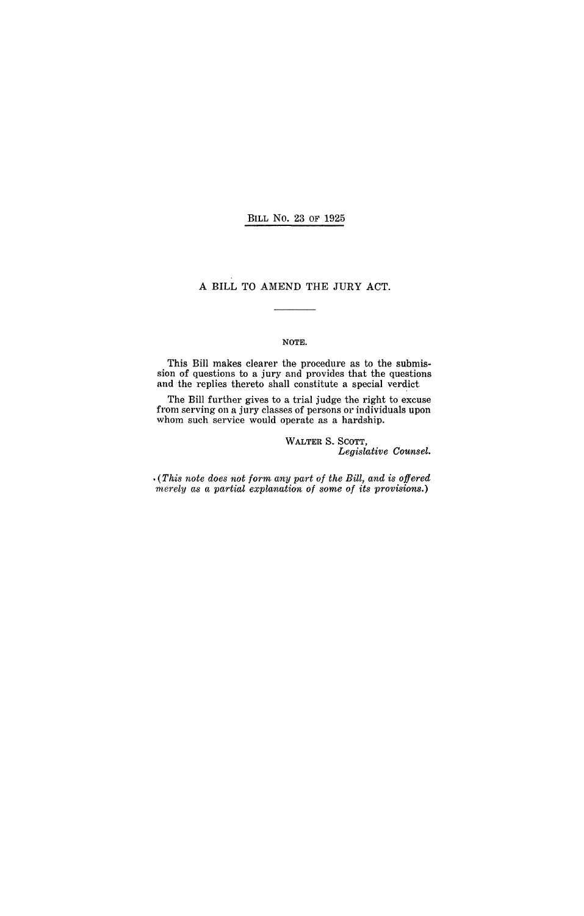BILL No. 23 OF 1925

### A BILL TO AMEND THE JURY ACT.

#### NOTE.

This Bill makes clearer the procedure as to the submission of questions to a jury and provides that the questions and the replies thereto shall constitute a special verdict.

The Bill further gives to a trial judge the right to excuse from serving on a jury classes of persons or individuals upon whom such service would operate as a hardship.

> WALTER S. SCOTT, *Legislative Counsel .*

 $\cdot$  (This note does not form any part of the Bill, and is offered *merely as a partial explanation* of *some* of *its provisions.)*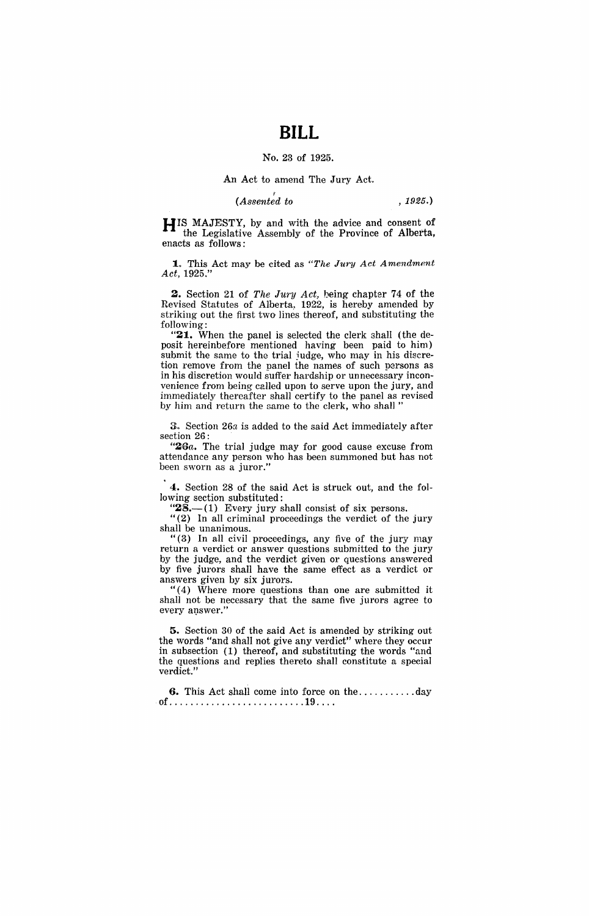# **BILL**

#### No. 23 of 1925.

### An Act to amend The Jury Act.

## (*Assented to* , 1925.)

HIS MAJESTY, by and with the advice and consent of the Legislative Assembly of the Province of Alberta, enacts as follows:

1. This Act may be cited as *"The Jury Act Amendment Act, 1925."* 

**2.** Section 21 of *The Jury Act*, being chapter 74 of the Revised Statutes of Alberta, 1922, is hereby amended by striking out the first two lines thereof, and substituting the following:

**"21.** When the panel is selected the clerk shall (the deposit hereinbefore mentioned having been paid to him) submit the same to the trial judge, who may in his discretion remove from the panel the names of such persons as in his discretion would suffer hardship or unnecessary inconvenience from being called upon to serve upon the jury, and immediately thereafter shall certify to the panel as revised by him and return the same to the clerk, who shall '

3. Section 26*a* is added to the said Act immediately after section 26:

"26a. The trial judge may for good cause excuse from attendance any person who has been summoned but has not been sworn as a juror."

4. Section 28 of the said Act is struck out, and the following section substituted:

" $28$ —(1) Every jury shall consist of six persons.

" $(2)$  In all criminal proceedings the verdict of the jury shall be unanimous.

"(3) In all civil proceedings, any five of the jury may return a verdict or answer questions submitted to the jury by the judge, and the verdict given or questions answered by five jurors shall have the same effect as a verdict or answers given by six jurors.

" (4) Where more questions than one are submitted it shall not be necessary that the same five jurors agree to every answer.'

**5.** Section 30 of the said Act is amended by striking out the words "and shall not give any verdict" where they occur in subsection (1) thereof, and substituting the words "and the questions and replies thereto shall constitute a special verdict.'

**6.** This Act shall come into force on the ........... day Qf .......................... 19 ... .